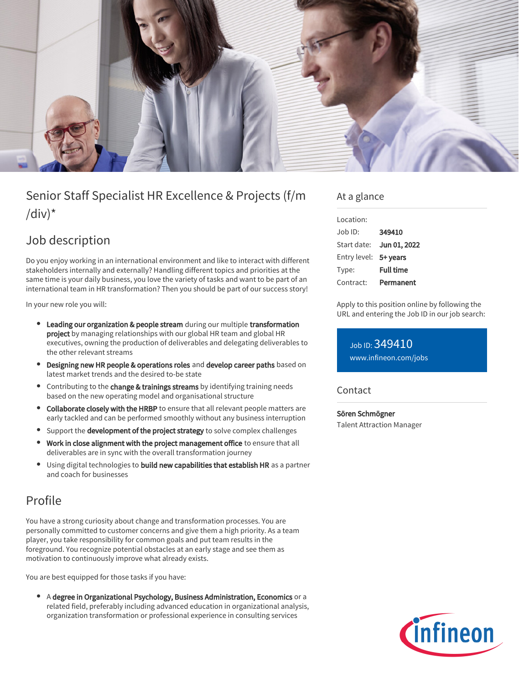

# Senior Staff Specialist HR Excellence & Projects (f/m /div) $*$

## Job description

Do you enjoy working in an international environment and like to interact with different stakeholders internally and externally? Handling different topics and priorities at the same time is your daily business, you love the variety of tasks and want to be part of an international team in HR transformation? Then you should be part of our success story!

In your new role you will:

- Leading our organization & people stream during our multiple transformation project by managing relationships with our global HR team and global HR executives, owning the production of deliverables and delegating deliverables to the other relevant streams
- Designing new HR people & operations roles and develop career paths based on latest market trends and the desired to-be state
- **•** Contributing to the change & trainings streams by identifying training needs based on the new operating model and organisational structure
- Collaborate closely with the HRBP to ensure that all relevant people matters are early tackled and can be performed smoothly without any business interruption
- Support the development of the project strategy to solve complex challenges
- Work in close alignment with the project management office to ensure that all deliverables are in sync with the overall transformation journey
- Using digital technologies to build new capabilities that establish HR as a partner and coach for businesses

## Profile

You have a strong curiosity about change and transformation processes. You are personally committed to customer concerns and give them a high priority. As a team player, you take responsibility for common goals and put team results in the foreground. You recognize potential obstacles at an early stage and see them as motivation to continuously improve what already exists.

You are best equipped for those tasks if you have:

A degree in Organizational Psychology, Business Administration, Economics or a related field, preferably including advanced education in organizational analysis, organization transformation or professional experience in consulting services

### At a glance

| Location:             |                  |
|-----------------------|------------------|
| Job ID:               | 349410           |
| Start date:           | Jun 01, 2022     |
| Entry level: 5+ years |                  |
| Type:                 | <b>Full time</b> |
| Contract:             | Permanent        |

Apply to this position online by following the URL and entering the Job ID in our job search:

Job ID: 349410 [www.infineon.com/jobs](https://www.infineon.com/jobs)

#### Contact

Sören Schmögner Talent Attraction Manager